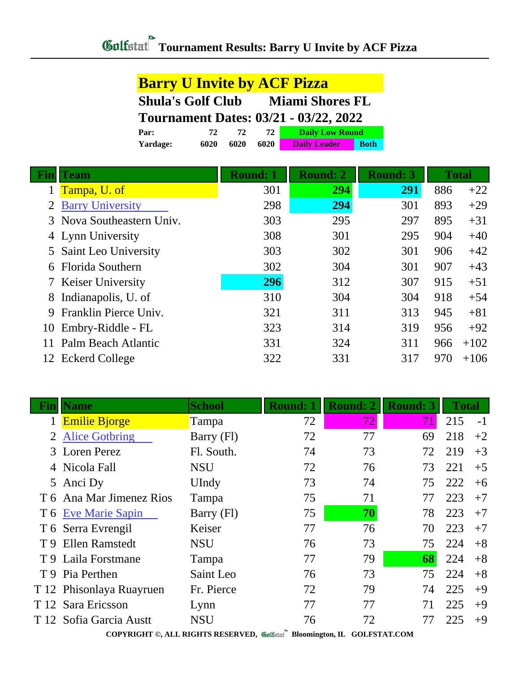| <b>Barry U Invite by ACF Pizza</b>                 |      |      |      |                        |             |  |
|----------------------------------------------------|------|------|------|------------------------|-------------|--|
| <b>Shula's Golf Club</b><br><b>Miami Shores FL</b> |      |      |      |                        |             |  |
| <b>Tournament Dates: 03/21 - 03/22, 2022</b>       |      |      |      |                        |             |  |
| Par:                                               | 72   | 72.  | 72   | <b>Daily Low Round</b> |             |  |
| Yardage:                                           | 6020 | 6020 | 6020 | <b>Daily Leader</b>    | <b>Both</b> |  |

|    | Team                      | <b>Round: 1</b> | <b>Round: 2</b> | <b>Round: 3</b> |     | <b>Total</b> |
|----|---------------------------|-----------------|-----------------|-----------------|-----|--------------|
|    | Tampa, U. of              | 301             | 294             | 291             | 886 | $+22$        |
|    | 2 Barry University        | 298             | 294             | 301             | 893 | $+29$        |
|    | 3 Nova Southeastern Univ. | 303             | 295             | 297             | 895 | $+31$        |
|    | 4 Lynn University         | 308             | 301             | 295             | 904 | $+40$        |
|    | 5 Saint Leo University    | 303             | 302             | 301             | 906 | $+42$        |
| 6  | <b>Florida Southern</b>   | 302             | 304             | 301             | 907 | $+43$        |
|    | 7 Keiser University       | 296             | 312             | 307             | 915 | $+51$        |
|    | 8 Indianapolis, U. of     | 310             | 304             | 304             | 918 | $+54$        |
| 9  | Franklin Pierce Univ.     | 321             | 311             | 313             | 945 | $+81$        |
| 10 | Embry-Riddle - FL         | 323             | 314             | 319             | 956 | $+92$        |
|    | Palm Beach Atlantic       | 331             | 324             | 311             | 966 | $+102$       |
|    | 12 Eckerd College         | 322             | 331             | 317             | 970 | $+106$       |

|     | <b>Name</b>              | <b>School</b> | <b>Round: 1</b> | <b>Round: 2</b> | <b>Round: 3</b> | <b>Total</b> |      |
|-----|--------------------------|---------------|-----------------|-----------------|-----------------|--------------|------|
|     | <b>Emilie Bjorge</b>     | Tampa         | 72              | 72.             | 71              | 215          | $-1$ |
|     | <b>Alice Gotbring</b>    | Barry (Fl)    | 72              | 77              | 69              | 218          | $+2$ |
| 3   | <b>Loren Perez</b>       | Fl. South.    | 74              | 73              | 72              | 219          | $+3$ |
|     | 4 Nicola Fall            | <b>NSU</b>    | 72              | 76              | 73              | 221          | $+5$ |
|     | 5 Anci Dy                | UIndy         | 73              | 74              | 75              | 222          | $+6$ |
|     | T 6 Ana Mar Jimenez Rios | Tampa         | 75              | 71              | 77              | 223          | $+7$ |
|     | T 6 Eve Marie Sapin      | Barry (Fl)    | 75              | 70              | 78              | 223          | $+7$ |
|     | T 6 Serra Evrengil       | Keiser        | 77              | 76              | 70              | 223          | $+7$ |
| T 9 | <b>Ellen Ramstedt</b>    | <b>NSU</b>    | 76              | 73              | 75              | 224          | $+8$ |
|     | T 9 Laila Forstmane      | Tampa         | 77              | 79              | 68              | 224          | $+8$ |
|     | T 9 Pia Perthen          | Saint Leo     | 76              | 73              | 75              | 224          | $+8$ |
|     | T 12 Phisonlaya Ruayruen | Fr. Pierce    | 72              | 79              | 74              | 225          | $+9$ |
|     | T 12 Sara Ericsson       | Lynn          | 77              | 77              |                 | 225          | $+9$ |
|     | T 12 Sofia Garcia Austt  | <b>NSU</b>    | 76              | 72              |                 | 225          | $+9$ |

**COPYRIGHT ©, ALL RIGHTS RESERVED, Bloomington, IL GOLFSTAT.COM**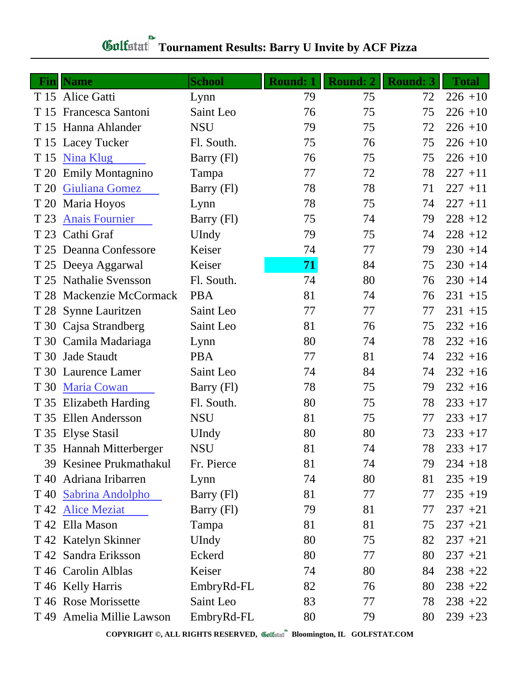## **Fin Name School Round: 1 Round: 2 Round: 3 Total** T 15 Alice Gatti Lynn 19 79 75 72 226 +10 T 15 Francesca Santoni Saint Leo 76 75 75 226 +10 T 15 Hanna Ahlander NSU 79 75 72 226 +10 T 15 Lacey Tucker Fl. South. 75 76 75 226 +10 T 15 [Nina Klug](http://www.golfstat.com/ultimate/W346web/W346index.htm?p=K) Barry (Fl) 76 75 75 226 +10 T 20 Emily Montagnino Tampa 77 72 78 227 +11 T 20 [Giuliana Gomez](http://www.golfstat.com/ultimate/W346web/W346index.htm?p=G) Barry (Fl) 78 78 71 227 +11 T 20 Maria Hoyos Lynn 78 75 74 227 +11 T 23 [Anais Fournier](http://www.golfstat.com/ultimate/W346web/W346index.htm?p=I) Barry (Fl) 75 74 79 228 +12 T 23 Cathi Graf UIndy 79 75 74 228 +12 T 25 Deanna Confessore Keiser 74 77 79 230 +14 T 25 Deeya Aggarwal Keiser **71** 84 75 230 +14 T 25 Nathalie Svensson Fl. South. 74 80 76 230 +14 T 28 Mackenzie McCormack PBA 81 74 76 231 +15 T 28 Synne Lauritzen Saint Leo 77 7 7 7 231 +15 T 30 Cajsa Strandberg Saint Leo 81 76 75 232 +16 T 30 Camila Madariaga Lynn 80 74 78 232 +16 T 30 Jade Staudt PBA 77 81 74 232 +16 T 30 Laurence Lamer Saint Leo 74 84 74 232 +16 T 30 [Maria Cowan](http://www.golfstat.com/ultimate/W346web/W346index.htm?p=J) Barry (Fl) 78 75 79 232 +16 T 35 Elizabeth Harding Fl. South. 80 75 78 233 +17 T 35 Ellen Andersson NSU 81 75 77 233 +17 T 35 Elyse Stasil UIndy 80 80 73 233 +17 T 35 Hannah Mitterberger NSU 81 74 78 233 +17 39 Kesinee Prukmathakul Fr. Pierce 81 74 79 234 +18 T 40 Adriana Iribarren Lynn 74 80 81 235 +19 T 40 [Sabrina Andolpho](http://www.golfstat.com/ultimate/W346web/W346index.htm?p=C) Barry (Fl) 81 77 77 235 +19 T 42 [Alice Meziat](http://www.golfstat.com/ultimate/W346web/W346index.htm?p=D) Barry (Fl) 79 81 77 237 +21 T 42 Ella Mason Tampa 81 81 75 237 +21 T 42 Katelyn Skinner UIndy 80 75 82 237 +21 T 42 Sandra Eriksson Eckerd 80 77 80 237 +21 T 46 Carolin Alblas Keiser 74 80 84 238 +22 T 46 Kelly Harris EmbryRd-FL 82 76 80 238 +22 T 46 Rose Morissette Saint Leo 83 77 78 238 +22  $T$  49 Amelia Millie Lawson EmbryRd-FL 80 79 80 239 +23

## **Tournament Results: Barry U Invite by ACF Pizza**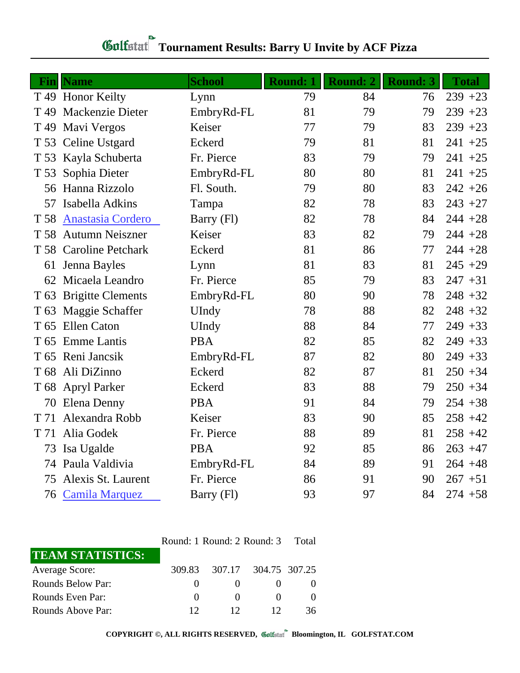|                 | <b>Fin</b> Name          | <b>School</b> | Round: 1 | Round: 2 | <b>Round: 3</b> | <b>Total</b> |
|-----------------|--------------------------|---------------|----------|----------|-----------------|--------------|
|                 | T 49 Honor Keilty        | Lynn          | 79       | 84       | 76              | $239 + 23$   |
| T <sub>49</sub> | <b>Mackenzie Dieter</b>  | EmbryRd-FL    | 81       | 79       | 79              | $239 + 23$   |
| T <sub>49</sub> | Mavi Vergos              | Keiser        | 77       | 79       | 83              | $239 + 23$   |
|                 | T 53 Celine Ustgard      | Eckerd        | 79       | 81       | 81              | $241 + 25$   |
| T 53            | Kayla Schuberta          | Fr. Pierce    | 83       | 79       | 79              | $241 + 25$   |
| T 53            | Sophia Dieter            | EmbryRd-FL    | 80       | 80       | 81              | $241 + 25$   |
|                 | 56 Hanna Rizzolo         | Fl. South.    | 79       | 80       | 83              | $242 + 26$   |
| 57              | Isabella Adkins          | Tampa         | 82       | 78       | 83              | $243 + 27$   |
| T 58            | <b>Anastasia Cordero</b> | Barry (Fl)    | 82       | 78       | 84              | $244 + 28$   |
| T 58            | <b>Autumn Neiszner</b>   | Keiser        | 83       | 82       | 79              | $244 + 28$   |
|                 | T 58 Caroline Petchark   | Eckerd        | 81       | 86       | 77              | $244 + 28$   |
| 61              | Jenna Bayles             | Lynn          | 81       | 83       | 81              | $245 + 29$   |
| 62              | Micaela Leandro          | Fr. Pierce    | 85       | 79       | 83              | $247 + 31$   |
| T 63            | <b>Brigitte Clements</b> | EmbryRd-FL    | 80       | 90       | 78              | $248 + 32$   |
| T <sub>63</sub> | Maggie Schaffer          | UIndy         | 78       | 88       | 82              | $248 + 32$   |
| T <sub>65</sub> | <b>Ellen Caton</b>       | UIndy         | 88       | 84       | 77              | $249 + 33$   |
| T <sub>65</sub> | <b>Emme Lantis</b>       | <b>PBA</b>    | 82       | 85       | 82              | $249 + 33$   |
|                 | T 65 Reni Jancsik        | EmbryRd-FL    | 87       | 82       | 80              | $249 + 33$   |
| T <sub>68</sub> | Ali DiZinno              | Eckerd        | 82       | 87       | 81              | $250 + 34$   |
|                 | T 68 Apryl Parker        | Eckerd        | 83       | 88       | 79              | $250 + 34$   |
| 70              | Elena Denny              | <b>PBA</b>    | 91       | 84       | 79              | $254 + 38$   |
| T 71            | Alexandra Robb           | Keiser        | 83       | 90       | 85              | $258 + 42$   |
| T 71            | Alia Godek               | Fr. Pierce    | 88       | 89       | 81              | $258 + 42$   |
| 73              | Isa Ugalde               | <b>PBA</b>    | 92       | 85       | 86              | $263 + 47$   |
| 74              | Paula Valdivia           | EmbryRd-FL    | 84       | 89       | 91              | $264 + 48$   |
| 75              | Alexis St. Laurent       | Fr. Pierce    | 86       | 91       | 90              | $267 + 51$   |
| 76              | <b>Camila Marquez</b>    | Barry (Fl)    | 93       | 97       | 84              | $274 + 58$   |

## *Gulfatat* Tournament Results: Barry U Invite by ACF Pizza

| Round: 1 Round: 2 Round: 3 |  |  | Total |
|----------------------------|--|--|-------|
|----------------------------|--|--|-------|

| <b>TEAM STATISTICS:</b> |        |                   |                      |    |
|-------------------------|--------|-------------------|----------------------|----|
| <b>Average Score:</b>   | 309.83 |                   | 307.17 304.75 307.25 |    |
| Rounds Below Par:       |        |                   |                      |    |
| Rounds Even Par:        |        | $\mathbf{\Omega}$ |                      |    |
| Rounds Above Par:       | 12     | 12                |                      | 36 |